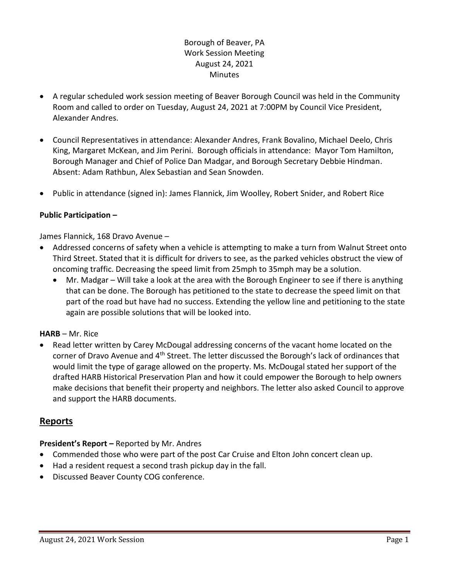# Borough of Beaver, PA Work Session Meeting August 24, 2021 **Minutes**

- A regular scheduled work session meeting of Beaver Borough Council was held in the Community Room and called to order on Tuesday, August 24, 2021 at 7:00PM by Council Vice President, Alexander Andres.
- Council Representatives in attendance: Alexander Andres, Frank Bovalino, Michael Deelo, Chris King, Margaret McKean, and Jim Perini. Borough officials in attendance: Mayor Tom Hamilton, Borough Manager and Chief of Police Dan Madgar, and Borough Secretary Debbie Hindman. Absent: Adam Rathbun, Alex Sebastian and Sean Snowden.
- Public in attendance (signed in): James Flannick, Jim Woolley, Robert Snider, and Robert Rice

# **Public Participation –**

James Flannick, 168 Dravo Avenue –

- Addressed concerns of safety when a vehicle is attempting to make a turn from Walnut Street onto Third Street. Stated that it is difficult for drivers to see, as the parked vehicles obstruct the view of oncoming traffic. Decreasing the speed limit from 25mph to 35mph may be a solution.
	- Mr. Madgar Will take a look at the area with the Borough Engineer to see if there is anything that can be done. The Borough has petitioned to the state to decrease the speed limit on that part of the road but have had no success. Extending the yellow line and petitioning to the state again are possible solutions that will be looked into.

## **HARB** – Mr. Rice

 Read letter written by Carey McDougal addressing concerns of the vacant home located on the corner of Dravo Avenue and 4<sup>th</sup> Street. The letter discussed the Borough's lack of ordinances that would limit the type of garage allowed on the property. Ms. McDougal stated her support of the drafted HARB Historical Preservation Plan and how it could empower the Borough to help owners make decisions that benefit their property and neighbors. The letter also asked Council to approve and support the HARB documents.

# **Reports**

**President's Report –** Reported by Mr. Andres

- Commended those who were part of the post Car Cruise and Elton John concert clean up.
- Had a resident request a second trash pickup day in the fall.
- Discussed Beaver County COG conference.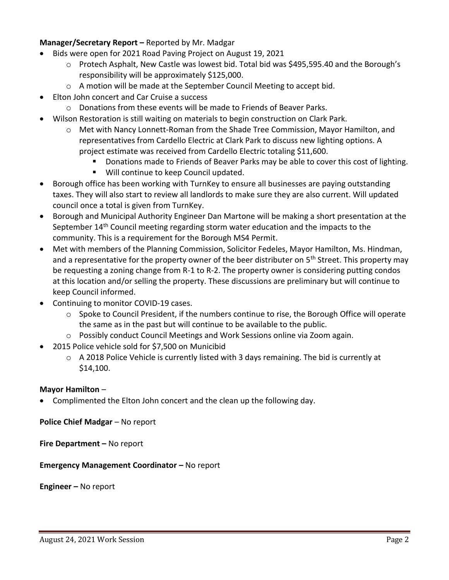# **Manager/Secretary Report –** Reported by Mr. Madgar

- Bids were open for 2021 Road Paving Project on August 19, 2021
	- o Protech Asphalt, New Castle was lowest bid. Total bid was \$495,595.40 and the Borough's responsibility will be approximately \$125,000.
	- o A motion will be made at the September Council Meeting to accept bid.
- Elton John concert and Car Cruise a success
	- o Donations from these events will be made to Friends of Beaver Parks.
- Wilson Restoration is still waiting on materials to begin construction on Clark Park.
	- o Met with Nancy Lonnett-Roman from the Shade Tree Commission, Mayor Hamilton, and representatives from Cardello Electric at Clark Park to discuss new lighting options. A project estimate was received from Cardello Electric totaling \$11,600.
		- **Donations made to Friends of Beaver Parks may be able to cover this cost of lighting.**
		- **Will continue to keep Council updated.**
- Borough office has been working with TurnKey to ensure all businesses are paying outstanding taxes. They will also start to review all landlords to make sure they are also current. Will updated council once a total is given from TurnKey.
- Borough and Municipal Authority Engineer Dan Martone will be making a short presentation at the September 14th Council meeting regarding storm water education and the impacts to the community. This is a requirement for the Borough MS4 Permit.
- Met with members of the Planning Commission, Solicitor Fedeles, Mayor Hamilton, Ms. Hindman, and a representative for the property owner of the beer distributer on 5<sup>th</sup> Street. This property may be requesting a zoning change from R-1 to R-2. The property owner is considering putting condos at this location and/or selling the property. These discussions are preliminary but will continue to keep Council informed.
- Continuing to monitor COVID-19 cases.
	- o Spoke to Council President, if the numbers continue to rise, the Borough Office will operate the same as in the past but will continue to be available to the public.
	- $\circ$  Possibly conduct Council Meetings and Work Sessions online via Zoom again.
- 2015 Police vehicle sold for \$7,500 on Municibid
	- $\circ$  A 2018 Police Vehicle is currently listed with 3 days remaining. The bid is currently at \$14,100.

## **Mayor Hamilton** –

Complimented the Elton John concert and the clean up the following day.

**Police Chief Madgar** – No report

**Fire Department – No report** 

**Emergency Management Coordinator - No report** 

**Engineer –** No report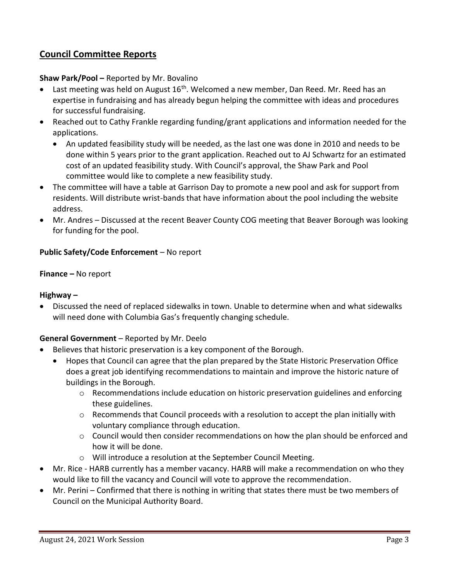# **Council Committee Reports**

## **Shaw Park/Pool –** Reported by Mr. Bovalino

- Last meeting was held on August  $16<sup>th</sup>$ . Welcomed a new member, Dan Reed. Mr. Reed has an expertise in fundraising and has already begun helping the committee with ideas and procedures for successful fundraising.
- Reached out to Cathy Frankle regarding funding/grant applications and information needed for the applications.
	- An updated feasibility study will be needed, as the last one was done in 2010 and needs to be done within 5 years prior to the grant application. Reached out to AJ Schwartz for an estimated cost of an updated feasibility study. With Council's approval, the Shaw Park and Pool committee would like to complete a new feasibility study.
- The committee will have a table at Garrison Day to promote a new pool and ask for support from residents. Will distribute wrist-bands that have information about the pool including the website address.
- Mr. Andres Discussed at the recent Beaver County COG meeting that Beaver Borough was looking for funding for the pool.

## **Public Safety/Code Enforcement** – No report

## **Finance –** No report

## **Highway –**

 Discussed the need of replaced sidewalks in town. Unable to determine when and what sidewalks will need done with Columbia Gas's frequently changing schedule.

# **General Government** – Reported by Mr. Deelo

- Believes that historic preservation is a key component of the Borough.
	- Hopes that Council can agree that the plan prepared by the State Historic Preservation Office does a great job identifying recommendations to maintain and improve the historic nature of buildings in the Borough.
		- $\circ$  Recommendations include education on historic preservation guidelines and enforcing these guidelines.
		- o Recommends that Council proceeds with a resolution to accept the plan initially with voluntary compliance through education.
		- $\circ$  Council would then consider recommendations on how the plan should be enforced and how it will be done.
		- o Will introduce a resolution at the September Council Meeting.
- Mr. Rice HARB currently has a member vacancy. HARB will make a recommendation on who they would like to fill the vacancy and Council will vote to approve the recommendation.
- Mr. Perini Confirmed that there is nothing in writing that states there must be two members of Council on the Municipal Authority Board.